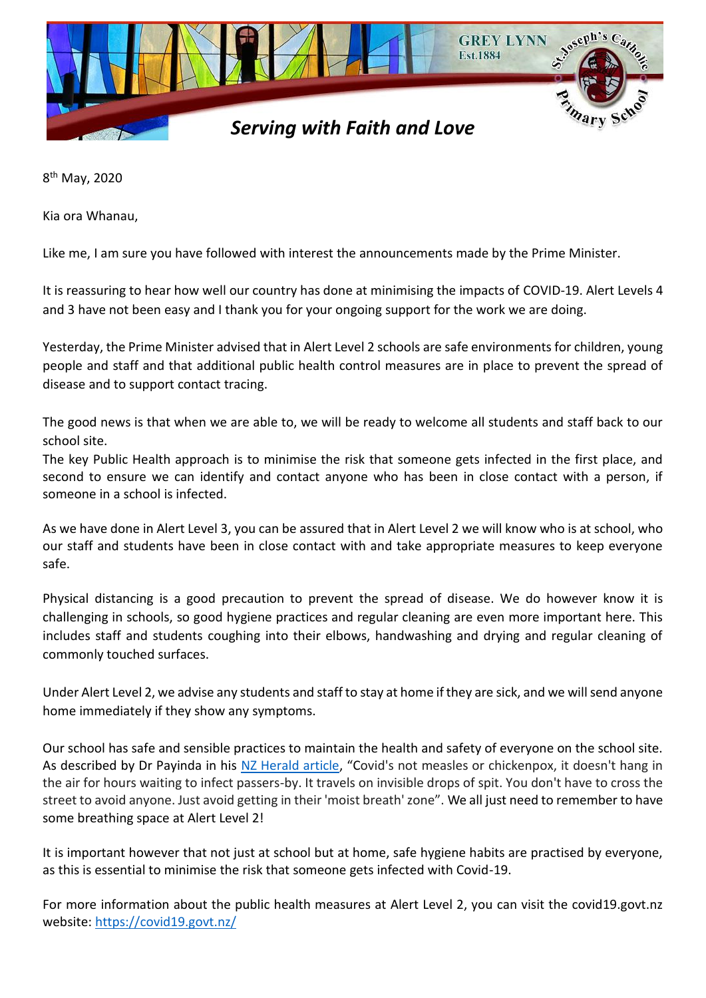

8<sup>th</sup> May, 2020

Kia ora Whanau,

Like me, I am sure you have followed with interest the announcements made by the Prime Minister.

It is reassuring to hear how well our country has done at minimising the impacts of COVID-19. Alert Levels 4 and 3 have not been easy and I thank you for your ongoing support for the work we are doing.

Yesterday, the Prime Minister advised that in Alert Level 2 schools are safe environments for children, young people and staff and that additional public health control measures are in place to prevent the spread of disease and to support contact tracing.

The good news is that when we are able to, we will be ready to welcome all students and staff back to our school site.

The key Public Health approach is to minimise the risk that someone gets infected in the first place, and second to ensure we can identify and contact anyone who has been in close contact with a person, if someone in a school is infected.

As we have done in Alert Level 3, you can be assured that in Alert Level 2 we will know who is at school, who our staff and students have been in close contact with and take appropriate measures to keep everyone safe.

Physical distancing is a good precaution to prevent the spread of disease. We do however know it is challenging in schools, so good hygiene practices and regular cleaning are even more important here. This includes staff and students coughing into their elbows, handwashing and drying and regular cleaning of commonly touched surfaces.

Under Alert Level 2, we advise any students and staff to stay at home if they are sick, and we will send anyone home immediately if they show any symptoms.

Our school has safe and sensible practices to maintain the health and safety of everyone on the school site. As described by Dr Payinda in his [NZ Herald article](https://www.nzherald.co.nz/nz/news/article.cfm?c_id=1&objectid=12328678), "Covid's not measles or chickenpox, it doesn't hang in the air for hours waiting to infect passers-by. It travels on invisible drops of spit. You don't have to cross the street to avoid anyone. Just avoid getting in their 'moist breath' zone". We all just need to remember to have some breathing space at Alert Level 2!

It is important however that not just at school but at home, safe hygiene habits are practised by everyone, as this is essential to minimise the risk that someone gets infected with Covid-19.

For more information about the public health measures at Alert Level 2, you can visit the covid19.govt.nz website:<https://covid19.govt.nz/>